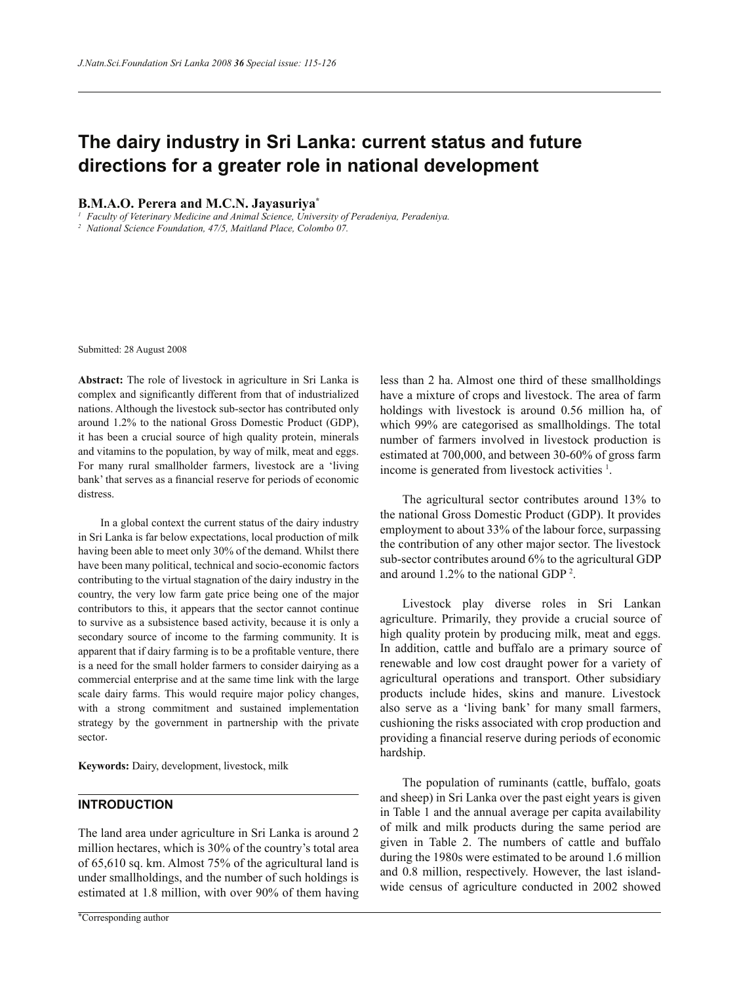# **The dairy industry in Sri Lanka: current status and future directions for a greater role in national development**

#### **B.M.A.O. Perera and M.C.N. Jayasuriya\***

*1 Faculty of Veterinary Medicine and Animal Science, University of Peradeniya, Peradeniya.*

*2 National Science Foundation, 47/5, Maitland Place, Colombo 07.*

Submitted: 28 August 2008

**Abstract:** The role of livestock in agriculture in Sri Lanka is complex and significantly different from that of industrialized nations. Although the livestock sub-sector has contributed only around 1.2% to the national Gross Domestic Product (GDP), it has been a crucial source of high quality protein, minerals and vitamins to the population, by way of milk, meat and eggs. For many rural smallholder farmers, livestock are a 'living bank' that serves as a financial reserve for periods of economic distress.

 In a global context the current status of the dairy industry in Sri Lanka is far below expectations, local production of milk having been able to meet only 30% of the demand. Whilst there have been many political, technical and socio-economic factors contributing to the virtual stagnation of the dairy industry in the country, the very low farm gate price being one of the major contributors to this, it appears that the sector cannot continue to survive as a subsistence based activity, because it is only a secondary source of income to the farming community. It is apparent that if dairy farming is to be a profitable venture, there is a need for the small holder farmers to consider dairying as a commercial enterprise and at the same time link with the large scale dairy farms. This would require major policy changes, with a strong commitment and sustained implementation strategy by the government in partnership with the private sector.

**Keywords:** Dairy, development, livestock, milk

## **INTRODUCTION**

The land area under agriculture in Sri Lanka is around 2 million hectares, which is 30% of the country's total area of 65,610 sq. km. Almost 75% of the agricultural land is under smallholdings, and the number of such holdings is estimated at 1.8 million, with over 90% of them having less than 2 ha. Almost one third of these smallholdings have a mixture of crops and livestock. The area of farm holdings with livestock is around 0.56 million ha, of which 99% are categorised as smallholdings. The total number of farmers involved in livestock production is estimated at 700,000, and between 30-60% of gross farm income is generated from livestock activities <sup>1</sup> .

 The agricultural sector contributes around 13% to the national Gross Domestic Product (GDP). It provides employment to about 33% of the labour force, surpassing the contribution of any other major sector. The livestock sub-sector contributes around 6% to the agricultural GDP and around 1.2% to the national GDP <sup>2</sup> .

 Livestock play diverse roles in Sri Lankan agriculture. Primarily, they provide a crucial source of high quality protein by producing milk, meat and eggs. In addition, cattle and buffalo are a primary source of renewable and low cost draught power for a variety of agricultural operations and transport. Other subsidiary products include hides, skins and manure. Livestock also serve as a 'living bank' for many small farmers, cushioning the risks associated with crop production and providing a financial reserve during periods of economic hardship.

 The population of ruminants (cattle, buffalo, goats and sheep) in Sri Lanka over the past eight years is given in Table 1 and the annual average per capita availability of milk and milk products during the same period are given in Table 2. The numbers of cattle and buffalo during the 1980s were estimated to be around 1.6 million and 0.8 million, respectively. However, the last islandwide census of agriculture conducted in 2002 showed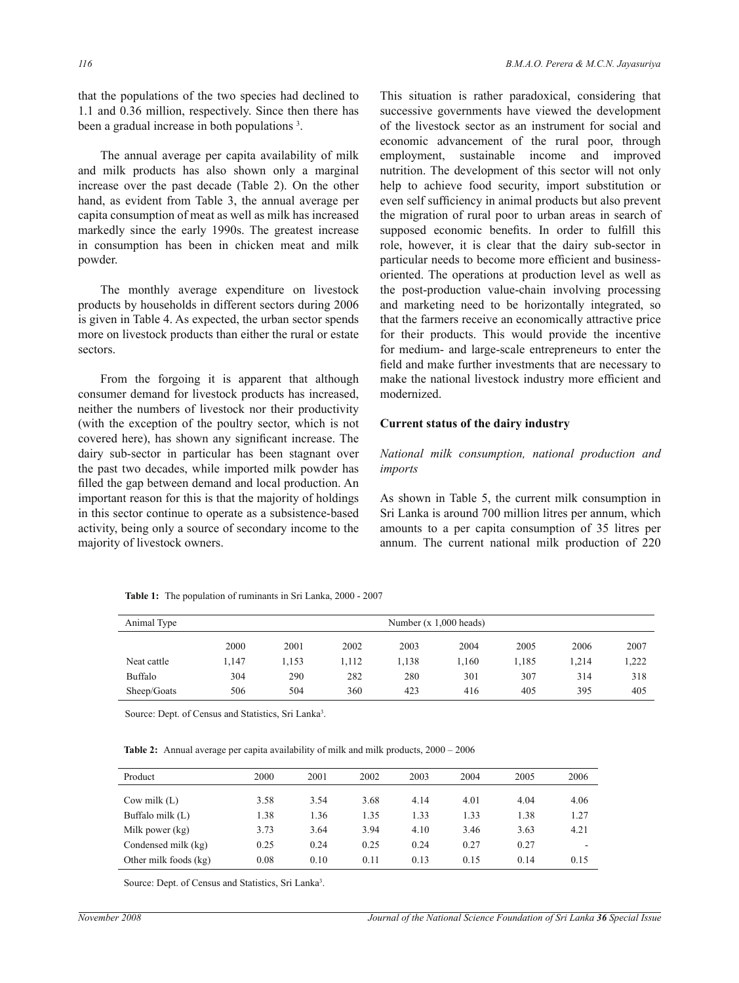that the populations of the two species had declined to 1.1 and 0.36 million, respectively. Since then there has been a gradual increase in both populations<sup>3</sup>.

 The annual average per capita availability of milk and milk products has also shown only a marginal increase over the past decade (Table 2). On the other hand, as evident from Table 3, the annual average per capita consumption of meat as well as milk has increased markedly since the early 1990s. The greatest increase in consumption has been in chicken meat and milk powder.

 The monthly average expenditure on livestock products by households in different sectors during 2006 is given in Table 4. As expected, the urban sector spends more on livestock products than either the rural or estate sectors.

 From the forgoing it is apparent that although consumer demand for livestock products has increased, neither the numbers of livestock nor their productivity (with the exception of the poultry sector, which is not covered here), has shown any significant increase. The dairy sub-sector in particular has been stagnant over the past two decades, while imported milk powder has filled the gap between demand and local production. An important reason for this is that the majority of holdings in this sector continue to operate as a subsistence-based activity, being only a source of secondary income to the majority of livestock owners.

This situation is rather paradoxical, considering that successive governments have viewed the development of the livestock sector as an instrument for social and economic advancement of the rural poor, through employment, sustainable income and improved nutrition. The development of this sector will not only help to achieve food security, import substitution or even self sufficiency in animal products but also prevent the migration of rural poor to urban areas in search of supposed economic benefits. In order to fulfill this role, however, it is clear that the dairy sub-sector in particular needs to become more efficient and businessoriented. The operations at production level as well as the post-production value-chain involving processing and marketing need to be horizontally integrated, so that the farmers receive an economically attractive price for their products. This would provide the incentive for medium- and large-scale entrepreneurs to enter the field and make further investments that are necessary to make the national livestock industry more efficient and modernized.

#### **Current status of the dairy industry**

#### *National milk consumption, national production and imports*

As shown in Table 5, the current milk consumption in Sri Lanka is around 700 million litres per annum, which amounts to a per capita consumption of 35 litres per annum. The current national milk production of 220

 **Table 1:** The population of ruminants in Sri Lanka, 2000 - 2007

| Animal Type | Number $(x 1,000$ heads) |      |      |       |       |       |       |       |  |
|-------------|--------------------------|------|------|-------|-------|-------|-------|-------|--|
|             | 2000                     | 2001 | 2002 | 2003  | 2004  | 2005  | 2006  | 2007  |  |
| Neat cattle | 1,147                    | .153 | .112 | 1,138 | l.160 | 1.185 | , 214 | 1,222 |  |
| Buffalo     | 304                      | 290  | 282  | 280   | 301   | 307   | 314   | 318   |  |
| Sheep/Goats | 506                      | 504  | 360  | 423   | 416   | 405   | 395   | 405   |  |

Source: Dept. of Census and Statistics, Sri Lanka<sup>3</sup>.

**Table 2:** Annual average per capita availability of milk and milk products, 2000 – 2006

| Product               | 2000 | 2001 | 2002 | 2003 | 2004 | 2005 | 2006 |
|-----------------------|------|------|------|------|------|------|------|
| Cow milk $(L)$        | 3.58 | 3.54 | 3.68 | 4.14 | 4.01 | 4.04 | 4.06 |
| Buffalo milk (L)      | 1.38 | 1.36 | 1.35 | 1.33 | 1.33 | 1.38 | 1.27 |
| Milk power (kg)       | 3.73 | 3.64 | 3.94 | 4.10 | 3.46 | 3.63 | 4.21 |
| Condensed milk (kg)   | 0.25 | 0.24 | 0.25 | 0.24 | 0.27 | 0.27 | -    |
| Other milk foods (kg) | 0.08 | 0.10 | 0.11 | 0.13 | 0.15 | 0.14 | 0.15 |

Source: Dept. of Census and Statistics, Sri Lanka<sup>3</sup>.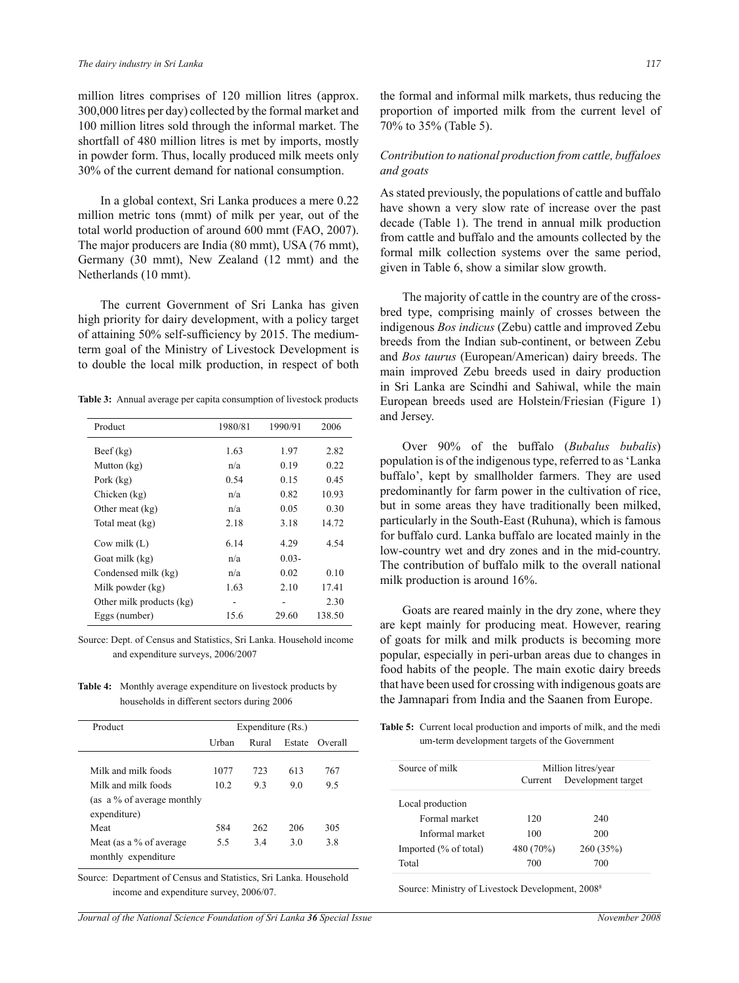million litres comprises of 120 million litres (approx. 300,000 litres per day) collected by the formal market and 100 million litres sold through the informal market. The shortfall of 480 million litres is met by imports, mostly in powder form. Thus, locally produced milk meets only 30% of the current demand for national consumption.

 In a global context, Sri Lanka produces a mere 0.22 million metric tons (mmt) of milk per year, out of the total world production of around 600 mmt (FAO, 2007). The major producers are India (80 mmt), USA (76 mmt), Germany (30 mmt), New Zealand (12 mmt) and the Netherlands (10 mmt).

 The current Government of Sri Lanka has given high priority for dairy development, with a policy target of attaining 50% self-sufficiency by 2015. The mediumterm goal of the Ministry of Livestock Development is to double the local milk production, in respect of both

**Table 3:** Annual average per capita consumption of livestock products

| Product                  | 1980/81 | 1990/91  | 2006   |
|--------------------------|---------|----------|--------|
| $\text{Beef}(\text{kg})$ | 1.63    | 1.97     | 2.82   |
| Mutton (kg)              | n/a     | 0.19     | 0.22   |
| Pork (kg)                | 0.54    | 0.15     | 0.45   |
| Chicken (kg)             | n/a     | 0.82     | 10.93  |
| Other meat $(kg)$        | n/a     | 0.05     | 0.30   |
| Total meat (kg)          | 2.18    | 3.18     | 14.72  |
| Cow milk $(L)$           | 6.14    | 4.29     | 4.54   |
| Goat milk (kg)           | n/a     | $0.03 -$ |        |
| Condensed milk (kg)      | n/a     | 0.02     | 0.10   |
| Milk powder (kg)         | 1.63    | 2.10     | 17.41  |
| Other milk products (kg) | -       |          | 2.30   |
| Eggs (number)            | 15.6    | 29.60    | 138.50 |

Source: Dept. of Census and Statistics, Sri Lanka. Household income and expenditure surveys, 2006/2007

**Table 4:** Monthly average expenditure on livestock products by households in different sectors during 2006

| Product                                           | Expenditure (Rs.) |       |        |         |  |  |
|---------------------------------------------------|-------------------|-------|--------|---------|--|--|
|                                                   | Urban             | Rural | Estate | Overall |  |  |
| Milk and milk foods                               | 1077              | 723   | 613    | 767     |  |  |
| Milk and milk foods                               | 10.2              | 9.3   | 9.0    | 9.5     |  |  |
| (as a $\%$ of average monthly<br>expenditure)     |                   |       |        |         |  |  |
| Meat                                              | 584               | 262   | 206    | 305     |  |  |
| Meat (as a $\%$ of average<br>monthly expenditure | 5.5               | 3.4   | 30     | 3.8     |  |  |

Source: Department of Census and Statistics, Sri Lanka. Household income and expenditure survey, 2006/07.

*Journal of the National Science Foundation of Sri Lanka 36 Special Issue* November 2008

the formal and informal milk markets, thus reducing the proportion of imported milk from the current level of 70% to 35% (Table 5).

#### *Contribution to national production from cattle, buffaloes and goats*

As stated previously, the populations of cattle and buffalo have shown a very slow rate of increase over the past decade (Table 1). The trend in annual milk production from cattle and buffalo and the amounts collected by the formal milk collection systems over the same period, given in Table 6, show a similar slow growth.

 The majority of cattle in the country are of the crossbred type, comprising mainly of crosses between the indigenous *Bos indicus* (Zebu) cattle and improved Zebu breeds from the Indian sub-continent, or between Zebu and *Bos taurus* (European/American) dairy breeds. The main improved Zebu breeds used in dairy production in Sri Lanka are Scindhi and Sahiwal, while the main European breeds used are Holstein/Friesian (Figure 1) and Jersey.

 Over 90% of the buffalo (*Bubalus bubalis*) population is of the indigenous type, referred to as 'Lanka buffalo', kept by smallholder farmers. They are used predominantly for farm power in the cultivation of rice, but in some areas they have traditionally been milked, particularly in the South-East (Ruhuna), which is famous for buffalo curd. Lanka buffalo are located mainly in the low-country wet and dry zones and in the mid-country. The contribution of buffalo milk to the overall national milk production is around 16%.

 Goats are reared mainly in the dry zone, where they are kept mainly for producing meat. However, rearing of goats for milk and milk products is becoming more popular, especially in peri-urban areas due to changes in food habits of the people. The main exotic dairy breeds that have been used for crossing with indigenous goats are the Jamnapari from India and the Saanen from Europe.

**Table 5:** Current local production and imports of milk, and the medi um-term development targets of the Government

| Source of milk        | Million litres/year |                    |  |  |
|-----------------------|---------------------|--------------------|--|--|
|                       | Current             | Development target |  |  |
| Local production      |                     |                    |  |  |
| Formal market         | 120                 | 240                |  |  |
| Informal market       | 100                 | 200                |  |  |
| Imported (% of total) | 480 (70%)           | 260(35%)           |  |  |
| Total                 | 700                 | 700                |  |  |

Source: Ministry of Livestock Development, 2008<sup>8</sup>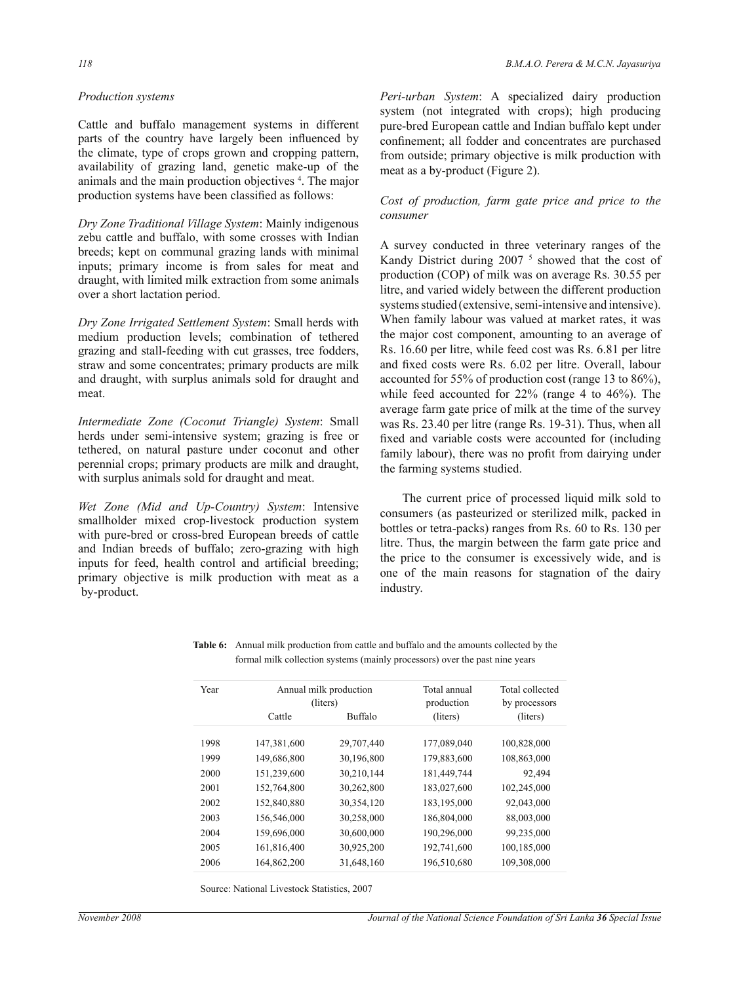#### *Production systems*

Cattle and buffalo management systems in different parts of the country have largely been influenced by the climate, type of crops grown and cropping pattern, availability of grazing land, genetic make-up of the animals and the main production objectives <sup>4</sup> . The major production systems have been classified as follows:

*Dry Zone Traditional Village System*: Mainly indigenous zebu cattle and buffalo, with some crosses with Indian breeds; kept on communal grazing lands with minimal inputs; primary income is from sales for meat and draught, with limited milk extraction from some animals over a short lactation period.

*Dry Zone Irrigated Settlement System*: Small herds with medium production levels; combination of tethered grazing and stall-feeding with cut grasses, tree fodders, straw and some concentrates; primary products are milk and draught, with surplus animals sold for draught and meat.

*Intermediate Zone (Coconut Triangle) System*: Small herds under semi-intensive system; grazing is free or tethered, on natural pasture under coconut and other perennial crops; primary products are milk and draught, with surplus animals sold for draught and meat.

*Wet Zone (Mid and Up-Country) System*: Intensive smallholder mixed crop-livestock production system with pure-bred or cross-bred European breeds of cattle and Indian breeds of buffalo; zero-grazing with high inputs for feed, health control and artificial breeding; primary objective is milk production with meat as a by-product.

*Peri-urban System*: A specialized dairy production system (not integrated with crops); high producing pure-bred European cattle and Indian buffalo kept under confinement; all fodder and concentrates are purchased from outside; primary objective is milk production with meat as a by-product (Figure 2).

#### *Cost of production, farm gate price and price to the consumer*

A survey conducted in three veterinary ranges of the Kandy District during 2007<sup>5</sup> showed that the cost of production (COP) of milk was on average Rs. 30.55 per litre, and varied widely between the different production systems studied (extensive, semi-intensive and intensive). When family labour was valued at market rates, it was the major cost component, amounting to an average of Rs. 16.60 per litre, while feed cost was Rs. 6.81 per litre and fixed costs were Rs. 6.02 per litre. Overall, labour accounted for 55% of production cost (range 13 to 86%), while feed accounted for 22% (range 4 to 46%). The average farm gate price of milk at the time of the survey was Rs. 23.40 per litre (range Rs. 19-31). Thus, when all fixed and variable costs were accounted for (including family labour), there was no profit from dairying under the farming systems studied.

 The current price of processed liquid milk sold to consumers (as pasteurized or sterilized milk, packed in bottles or tetra-packs) ranges from Rs. 60 to Rs. 130 per litre. Thus, the margin between the farm gate price and the price to the consumer is excessively wide, and is one of the main reasons for stagnation of the dairy industry.

| Year |             | Annual milk production | Total annual<br>production | Total collected           |
|------|-------------|------------------------|----------------------------|---------------------------|
|      | Cattle      | (liters)<br>Buffalo    |                            | by processors<br>(liters) |
|      |             |                        | (liters)                   |                           |
| 1998 | 147,381,600 | 29,707,440             | 177,089,040                | 100,828,000               |
| 1999 | 149,686,800 | 30,196,800             | 179,883,600                | 108,863,000               |
| 2000 | 151,239,600 | 30,210,144             | 181,449,744                | 92,494                    |
| 2001 | 152,764,800 | 30,262,800             | 183,027,600                | 102,245,000               |
| 2002 | 152,840,880 | 30,354,120             | 183,195,000                | 92,043,000                |
| 2003 | 156,546,000 | 30,258,000             | 186,804,000                | 88,003,000                |
| 2004 | 159,696,000 | 30,600,000             | 190,296,000                | 99,235,000                |
| 2005 | 161,816,400 | 30,925,200             | 192,741,600                | 100,185,000               |
| 2006 | 164.862.200 | 31.648.160             | 196.510.680                | 109.308.000               |

**Table 6:** Annual milk production from cattle and buffalo and the amounts collected by the formal milk collection systems (mainly processors) over the past nine years

Source: National Livestock Statistics, 2007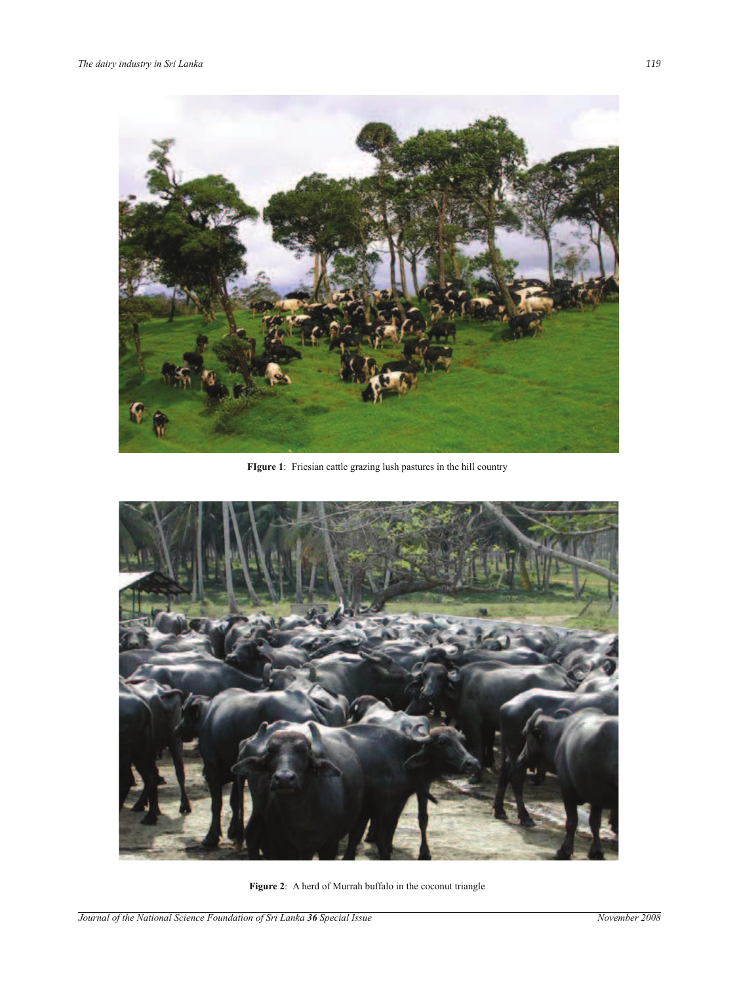

**FIgure 1**: Friesian cattle grazing lush pastures in the hill country



**Figure 2**: A herd of Murrah buffalo in the coconut triangle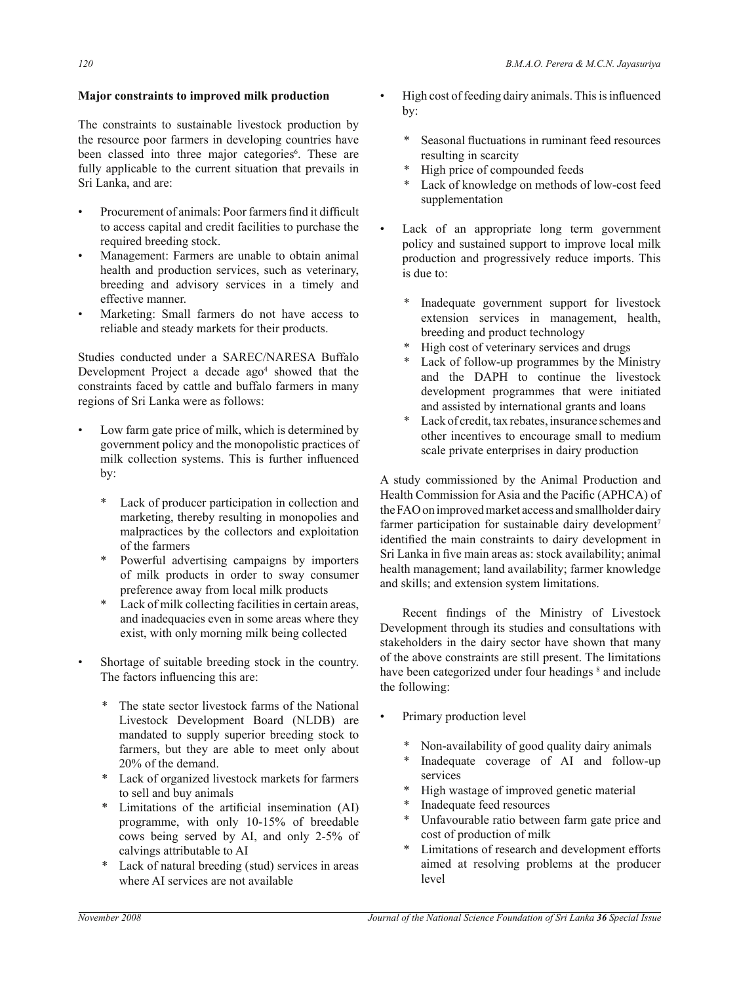## **Major constraints to improved milk production**

The constraints to sustainable livestock production by the resource poor farmers in developing countries have been classed into three major categories<sup>6</sup>. These are fully applicable to the current situation that prevails in Sri Lanka, and are:

- Procurement of animals: Poor farmers find it difficult to access capital and credit facilities to purchase the required breeding stock.
- Management: Farmers are unable to obtain animal health and production services, such as veterinary, breeding and advisory services in a timely and effective manner.
- Marketing: Small farmers do not have access to reliable and steady markets for their products.

Studies conducted under a SAREC/NARESA Buffalo Development Project a decade ago<sup>4</sup> showed that the constraints faced by cattle and buffalo farmers in many regions of Sri Lanka were as follows:

- Low farm gate price of milk, which is determined by government policy and the monopolistic practices of milk collection systems. This is further influenced by:
	- \* Lack of producer participation in collection and marketing, thereby resulting in monopolies and malpractices by the collectors and exploitation of the farmers
	- Powerful advertising campaigns by importers of milk products in order to sway consumer preference away from local milk products
	- \* Lack of milk collecting facilities in certain areas, and inadequacies even in some areas where they exist, with only morning milk being collected
- Shortage of suitable breeding stock in the country. The factors influencing this are:
	- The state sector livestock farms of the National Livestock Development Board (NLDB) are mandated to supply superior breeding stock to farmers, but they are able to meet only about 20% of the demand.
	- \* Lack of organized livestock markets for farmers to sell and buy animals
	- \* Limitations of the artificial insemination (AI) programme, with only 10-15% of breedable cows being served by AI, and only 2-5% of calvings attributable to AI
	- \* Lack of natural breeding (stud) services in areas where AI services are not available
- High cost of feeding dairy animals. This is influenced by:
	- Seasonal fluctuations in ruminant feed resources resulting in scarcity
	- \* High price of compounded feeds
	- \* Lack of knowledge on methods of low-cost feed supplementation
- Lack of an appropriate long term government policy and sustained support to improve local milk production and progressively reduce imports. This is due to:
	- Inadequate government support for livestock extension services in management, health, breeding and product technology
	- \* High cost of veterinary services and drugs
	- Lack of follow-up programmes by the Ministry and the DAPH to continue the livestock development programmes that were initiated and assisted by international grants and loans
	- Lack of credit, tax rebates, insurance schemes and other incentives to encourage small to medium scale private enterprises in dairy production

A study commissioned by the Animal Production and Health Commission for Asia and the Pacific (APHCA) of the FAO on improved market access and smallholder dairy farmer participation for sustainable dairy development<sup>7</sup> identified the main constraints to dairy development in Sri Lanka in five main areas as: stock availability; animal health management; land availability; farmer knowledge and skills; and extension system limitations.

 Recent findings of the Ministry of Livestock Development through its studies and consultations with stakeholders in the dairy sector have shown that many of the above constraints are still present. The limitations have been categorized under four headings  $\delta$  and include the following:

- Primary production level
	- Non-availability of good quality dairy animals
	- \* Inadequate coverage of AI and follow-up services
	- \* High wastage of improved genetic material
	- \* Inadequate feed resources
	- Unfavourable ratio between farm gate price and cost of production of milk
	- Limitations of research and development efforts aimed at resolving problems at the producer level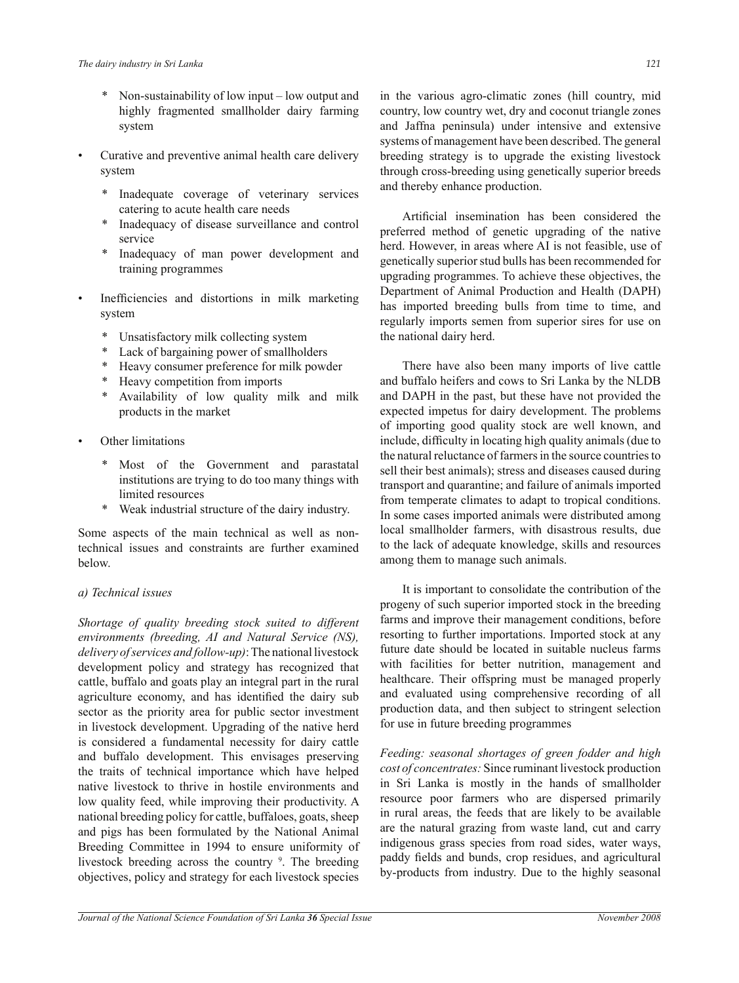- \* Non-sustainability of low input low output and highly fragmented smallholder dairy farming system
- Curative and preventive animal health care delivery system
	- Inadequate coverage of veterinary services catering to acute health care needs
	- Inadequacy of disease surveillance and control service
	- \* Inadequacy of man power development and training programmes
- Inefficiencies and distortions in milk marketing system
	- \* Unsatisfactory milk collecting system
	- Lack of bargaining power of smallholders
	- \* Heavy consumer preference for milk powder
	- Heavy competition from imports
	- Availability of low quality milk and milk products in the market
- Other limitations
	- \* Most of the Government and parastatal institutions are trying to do too many things with limited resources
	- Weak industrial structure of the dairy industry.

Some aspects of the main technical as well as nontechnical issues and constraints are further examined below.

## *a) Technical issues*

*Shortage of quality breeding stock suited to different environments (breeding, AI and Natural Service (NS), delivery of services and follow-up)*: The national livestock development policy and strategy has recognized that cattle, buffalo and goats play an integral part in the rural agriculture economy, and has identified the dairy sub sector as the priority area for public sector investment in livestock development. Upgrading of the native herd is considered a fundamental necessity for dairy cattle and buffalo development. This envisages preserving the traits of technical importance which have helped native livestock to thrive in hostile environments and low quality feed, while improving their productivity. A national breeding policy for cattle, buffaloes, goats, sheep and pigs has been formulated by the National Animal Breeding Committee in 1994 to ensure uniformity of livestock breeding across the country <sup>9</sup>. The breeding objectives, policy and strategy for each livestock species

in the various agro-climatic zones (hill country, mid country, low country wet, dry and coconut triangle zones and Jaffna peninsula) under intensive and extensive systems of management have been described. The general breeding strategy is to upgrade the existing livestock through cross-breeding using genetically superior breeds and thereby enhance production.

 Artificial insemination has been considered the preferred method of genetic upgrading of the native herd. However, in areas where AI is not feasible, use of genetically superior stud bulls has been recommended for upgrading programmes. To achieve these objectives, the Department of Animal Production and Health (DAPH) has imported breeding bulls from time to time, and regularly imports semen from superior sires for use on the national dairy herd.

 There have also been many imports of live cattle and buffalo heifers and cows to Sri Lanka by the NLDB and DAPH in the past, but these have not provided the expected impetus for dairy development. The problems of importing good quality stock are well known, and include, difficulty in locating high quality animals (due to the natural reluctance of farmers in the source countries to sell their best animals); stress and diseases caused during transport and quarantine; and failure of animals imported from temperate climates to adapt to tropical conditions. In some cases imported animals were distributed among local smallholder farmers, with disastrous results, due to the lack of adequate knowledge, skills and resources among them to manage such animals.

 It is important to consolidate the contribution of the progeny of such superior imported stock in the breeding farms and improve their management conditions, before resorting to further importations. Imported stock at any future date should be located in suitable nucleus farms with facilities for better nutrition, management and healthcare. Their offspring must be managed properly and evaluated using comprehensive recording of all production data, and then subject to stringent selection for use in future breeding programmes

*Feeding: seasonal shortages of green fodder and high cost of concentrates:* Since ruminant livestock production in Sri Lanka is mostly in the hands of smallholder resource poor farmers who are dispersed primarily in rural areas, the feeds that are likely to be available are the natural grazing from waste land, cut and carry indigenous grass species from road sides, water ways, paddy fields and bunds, crop residues, and agricultural by-products from industry. Due to the highly seasonal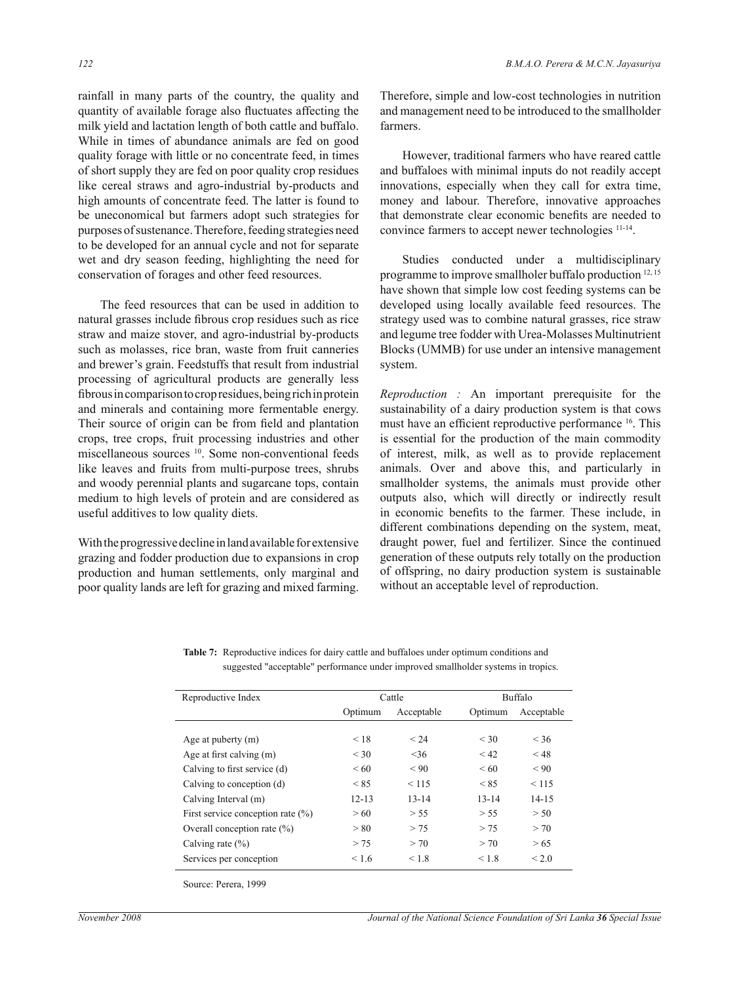rainfall in many parts of the country, the quality and quantity of available forage also fluctuates affecting the milk yield and lactation length of both cattle and buffalo. While in times of abundance animals are fed on good quality forage with little or no concentrate feed, in times of short supply they are fed on poor quality crop residues like cereal straws and agro-industrial by-products and high amounts of concentrate feed. The latter is found to be uneconomical but farmers adopt such strategies for purposes of sustenance. Therefore, feeding strategies need to be developed for an annual cycle and not for separate wet and dry season feeding, highlighting the need for conservation of forages and other feed resources.

 The feed resources that can be used in addition to natural grasses include fibrous crop residues such as rice straw and maize stover, and agro-industrial by-products such as molasses, rice bran, waste from fruit canneries and brewer's grain. Feedstuffs that result from industrial processing of agricultural products are generally less fibrous in comparison to crop residues, being rich in protein and minerals and containing more fermentable energy. Their source of origin can be from field and plantation crops, tree crops, fruit processing industries and other miscellaneous sources <sup>10</sup>. Some non-conventional feeds like leaves and fruits from multi-purpose trees, shrubs and woody perennial plants and sugarcane tops, contain medium to high levels of protein and are considered as useful additives to low quality diets.

With the progressive decline in land available for extensive grazing and fodder production due to expansions in crop production and human settlements, only marginal and poor quality lands are left for grazing and mixed farming.

Therefore, simple and low-cost technologies in nutrition and management need to be introduced to the smallholder farmers.

 However, traditional farmers who have reared cattle and buffaloes with minimal inputs do not readily accept innovations, especially when they call for extra time, money and labour. Therefore, innovative approaches that demonstrate clear economic benefits are needed to convince farmers to accept newer technologies 11-14 .

 Studies conducted under a multidisciplinary programme to improve smallholer buffalo production 12, 15 have shown that simple low cost feeding systems can be developed using locally available feed resources. The strategy used was to combine natural grasses, rice straw and legume tree fodder with Urea-Molasses Multinutrient Blocks (UMMB) for use under an intensive management system.

*Reproduction :* An important prerequisite for the sustainability of a dairy production system is that cows must have an efficient reproductive performance <sup>16</sup>. This is essential for the production of the main commodity of interest, milk, as well as to provide replacement animals. Over and above this, and particularly in smallholder systems, the animals must provide other outputs also, which will directly or indirectly result in economic benefits to the farmer. These include, in different combinations depending on the system, meat, draught power, fuel and fertilizer. Since the continued generation of these outputs rely totally on the production of offspring, no dairy production system is sustainable without an acceptable level of reproduction.

 **Table 7:** Reproductive indices for dairy cattle and buffaloes under optimum conditions and suggested "acceptable" performance under improved smallholder systems in tropics.

| Reproductive Index                   |           | Cattle     | <b>Buffalo</b> |            |  |
|--------------------------------------|-----------|------------|----------------|------------|--|
|                                      | Optimum   | Acceptable | Optimum        | Acceptable |  |
| Age at puberty (m)                   | < 18      | < 24       | $<$ 30         | < 36       |  |
| Age at first calving (m)             | $<$ 30    | <36        | < 42           | $<$ 48     |  |
| Calving to first service (d)         | <60       | < 90       | <60            | < 90       |  |
| Calving to conception (d)            | < 85      | < 115      | < 85           | < 115      |  |
| Calving Interval (m)                 | $12 - 13$ | $13 - 14$  | $13 - 14$      | $14 - 15$  |  |
| First service conception rate $(\%)$ | > 60      | > 55       | > 55           | > 50       |  |
| Overall conception rate (%)          | > 80      | > 75       | > 75           | > 70       |  |
| Calving rate $(\% )$                 | > 75      | > 70       | > 70           | > 65       |  |
| Services per conception              | < 1.6     | < 1.8      | < 1.8          | $<$ 2.0    |  |

Source: Perera, 1999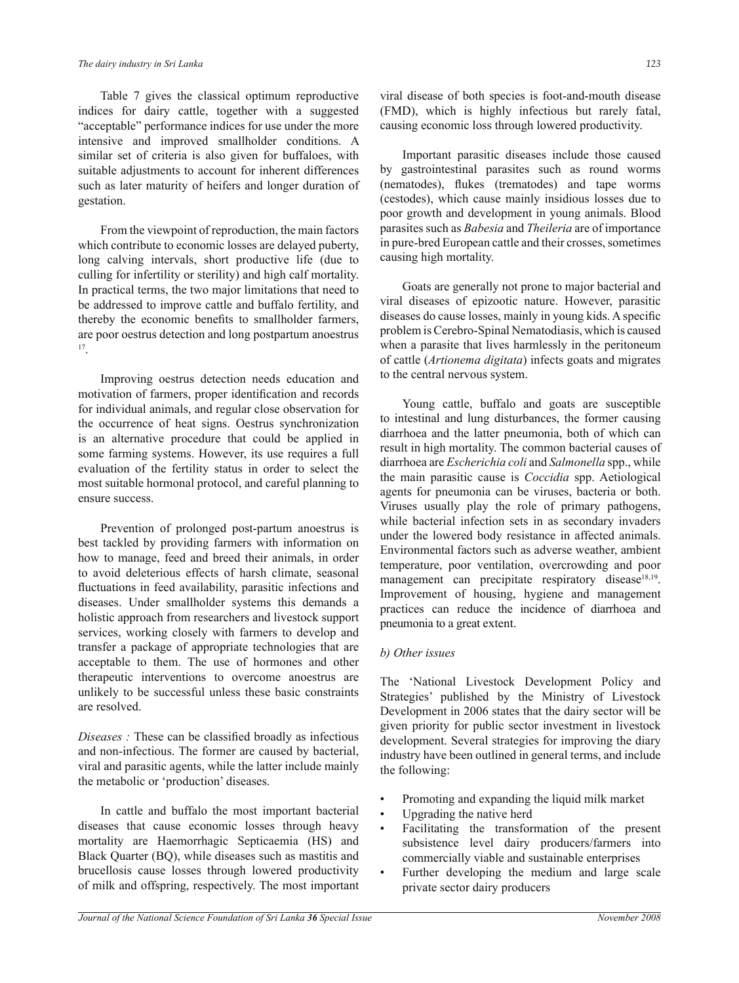Table 7 gives the classical optimum reproductive indices for dairy cattle, together with a suggested "acceptable" performance indices for use under the more intensive and improved smallholder conditions. A similar set of criteria is also given for buffaloes, with suitable adjustments to account for inherent differences such as later maturity of heifers and longer duration of gestation.

 From the viewpoint of reproduction, the main factors which contribute to economic losses are delayed puberty, long calving intervals, short productive life (due to culling for infertility or sterility) and high calf mortality. In practical terms, the two major limitations that need to be addressed to improve cattle and buffalo fertility, and thereby the economic benefits to smallholder farmers, are poor oestrus detection and long postpartum anoestrus 17 .

 Improving oestrus detection needs education and motivation of farmers, proper identification and records for individual animals, and regular close observation for the occurrence of heat signs. Oestrus synchronization is an alternative procedure that could be applied in some farming systems. However, its use requires a full evaluation of the fertility status in order to select the most suitable hormonal protocol, and careful planning to ensure success.

 Prevention of prolonged post-partum anoestrus is best tackled by providing farmers with information on how to manage, feed and breed their animals, in order to avoid deleterious effects of harsh climate, seasonal fluctuations in feed availability, parasitic infections and diseases. Under smallholder systems this demands a holistic approach from researchers and livestock support services, working closely with farmers to develop and transfer a package of appropriate technologies that are acceptable to them. The use of hormones and other therapeutic interventions to overcome anoestrus are unlikely to be successful unless these basic constraints are resolved.

*Diseases :* These can be classified broadly as infectious and non-infectious. The former are caused by bacterial, viral and parasitic agents, while the latter include mainly the metabolic or 'production' diseases.

 In cattle and buffalo the most important bacterial diseases that cause economic losses through heavy mortality are Haemorrhagic Septicaemia (HS) and Black Quarter (BQ), while diseases such as mastitis and brucellosis cause losses through lowered productivity of milk and offspring, respectively. The most important viral disease of both species is foot-and-mouth disease (FMD), which is highly infectious but rarely fatal, causing economic loss through lowered productivity.

 Important parasitic diseases include those caused by gastrointestinal parasites such as round worms (nematodes), flukes (trematodes) and tape worms (cestodes), which cause mainly insidious losses due to poor growth and development in young animals. Blood parasites such as *Babesia* and *Theileria* are of importance in pure-bred European cattle and their crosses, sometimes causing high mortality.

 Goats are generally not prone to major bacterial and viral diseases of epizootic nature. However, parasitic diseases do cause losses, mainly in young kids. A specific problem is Cerebro-Spinal Nematodiasis, which is caused when a parasite that lives harmlessly in the peritoneum of cattle (*Artionema digitata*) infects goats and migrates to the central nervous system.

 Young cattle, buffalo and goats are susceptible to intestinal and lung disturbances, the former causing diarrhoea and the latter pneumonia, both of which can result in high mortality. The common bacterial causes of diarrhoea are *Escherichia coli* and *Salmonella* spp., while the main parasitic cause is *Coccidia* spp. Aetiological agents for pneumonia can be viruses, bacteria or both. Viruses usually play the role of primary pathogens, while bacterial infection sets in as secondary invaders under the lowered body resistance in affected animals. Environmental factors such as adverse weather, ambient temperature, poor ventilation, overcrowding and poor management can precipitate respiratory disease<sup>18,19</sup>. Improvement of housing, hygiene and management practices can reduce the incidence of diarrhoea and pneumonia to a great extent.

#### *b) Other issues*

The 'National Livestock Development Policy and Strategies' published by the Ministry of Livestock Development in 2006 states that the dairy sector will be given priority for public sector investment in livestock development. Several strategies for improving the diary industry have been outlined in general terms, and include the following:

- Promoting and expanding the liquid milk market
- Upgrading the native herd
- Facilitating the transformation of the present subsistence level dairy producers/farmers into commercially viable and sustainable enterprises
- Further developing the medium and large scale private sector dairy producers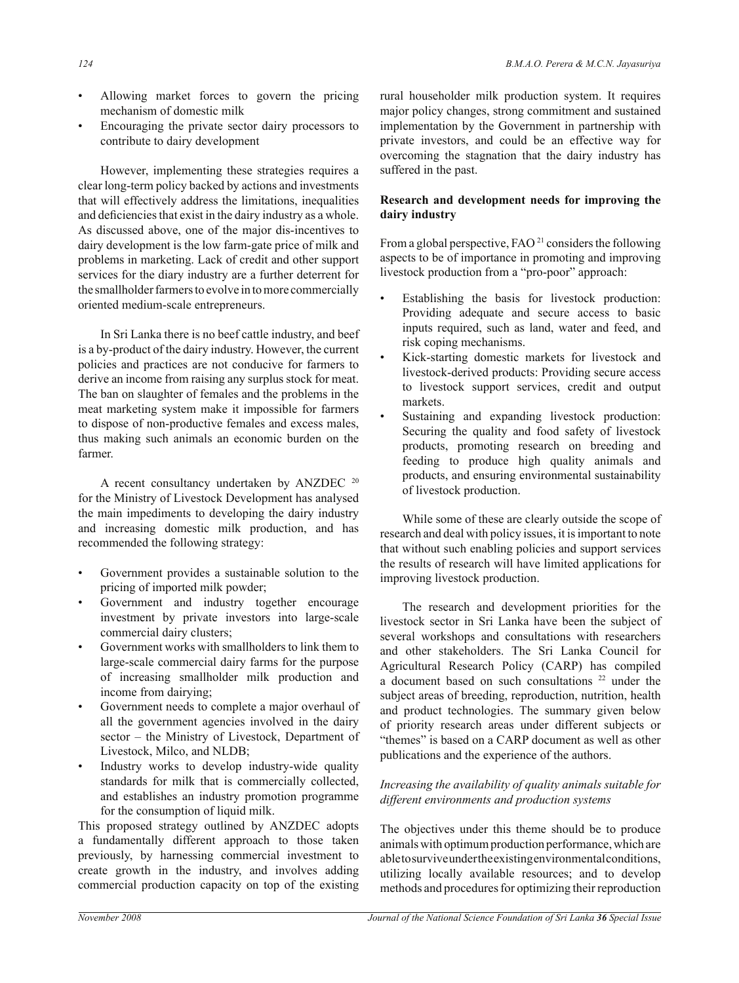- Allowing market forces to govern the pricing mechanism of domestic milk
- Encouraging the private sector dairy processors to contribute to dairy development

 However, implementing these strategies requires a clear long-term policy backed by actions and investments that will effectively address the limitations, inequalities and deficiencies that exist in the dairy industry as a whole. As discussed above, one of the major dis-incentives to dairy development is the low farm-gate price of milk and problems in marketing. Lack of credit and other support services for the diary industry are a further deterrent for the smallholder farmers to evolve in to more commercially oriented medium-scale entrepreneurs.

 In Sri Lanka there is no beef cattle industry, and beef is a by-product of the dairy industry. However, the current policies and practices are not conducive for farmers to derive an income from raising any surplus stock for meat. The ban on slaughter of females and the problems in the meat marketing system make it impossible for farmers to dispose of non-productive females and excess males, thus making such animals an economic burden on the farmer.

A recent consultancy undertaken by ANZDEC <sup>20</sup> for the Ministry of Livestock Development has analysed the main impediments to developing the dairy industry and increasing domestic milk production, and has recommended the following strategy:

- Government provides a sustainable solution to the pricing of imported milk powder;
- Government and industry together encourage investment by private investors into large-scale commercial dairy clusters;
- Government works with smallholders to link them to large-scale commercial dairy farms for the purpose of increasing smallholder milk production and income from dairying;
- Government needs to complete a major overhaul of all the government agencies involved in the dairy sector – the Ministry of Livestock, Department of Livestock, Milco, and NLDB;
- Industry works to develop industry-wide quality standards for milk that is commercially collected, and establishes an industry promotion programme for the consumption of liquid milk.

This proposed strategy outlined by ANZDEC adopts a fundamentally different approach to those taken previously, by harnessing commercial investment to create growth in the industry, and involves adding commercial production capacity on top of the existing rural householder milk production system. It requires major policy changes, strong commitment and sustained implementation by the Government in partnership with private investors, and could be an effective way for overcoming the stagnation that the dairy industry has suffered in the past.

### **Research and development needs for improving the dairy industry**

From a global perspective, FAO<sup>21</sup> considers the following aspects to be of importance in promoting and improving livestock production from a "pro-poor" approach:

- Establishing the basis for livestock production: Providing adequate and secure access to basic inputs required, such as land, water and feed, and risk coping mechanisms.
- Kick-starting domestic markets for livestock and livestock-derived products: Providing secure access to livestock support services, credit and output markets.
- Sustaining and expanding livestock production: Securing the quality and food safety of livestock products, promoting research on breeding and feeding to produce high quality animals and products, and ensuring environmental sustainability of livestock production.

 While some of these are clearly outside the scope of research and deal with policy issues, it is important to note that without such enabling policies and support services the results of research will have limited applications for improving livestock production.

 The research and development priorities for the livestock sector in Sri Lanka have been the subject of several workshops and consultations with researchers and other stakeholders. The Sri Lanka Council for Agricultural Research Policy (CARP) has compiled a document based on such consultations <sup>22</sup> under the subject areas of breeding, reproduction, nutrition, health and product technologies. The summary given below of priority research areas under different subjects or "themes" is based on a CARP document as well as other publications and the experience of the authors.

## *Increasing the availability of quality animals suitable for different environments and production systems*

The objectives under this theme should be to produce animals with optimum production performance, which are able to survive under the existing environmental conditions, utilizing locally available resources; and to develop methods and procedures for optimizing their reproduction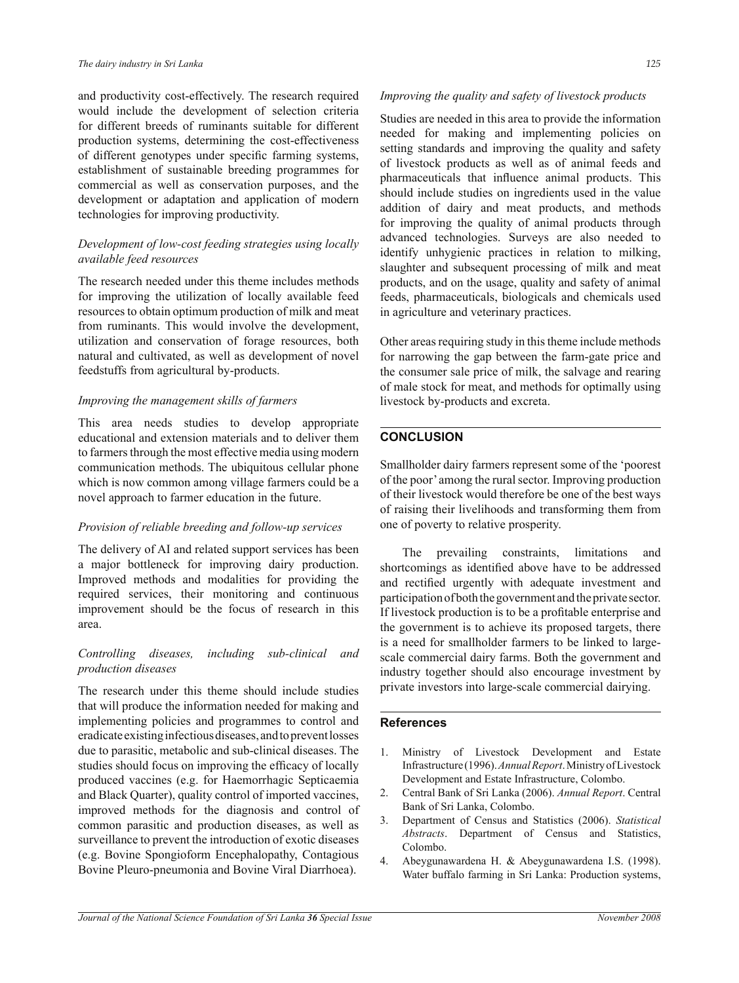and productivity cost-effectively. The research required would include the development of selection criteria for different breeds of ruminants suitable for different production systems, determining the cost-effectiveness of different genotypes under specific farming systems, establishment of sustainable breeding programmes for commercial as well as conservation purposes, and the development or adaptation and application of modern technologies for improving productivity.

## *Development of low-cost feeding strategies using locally available feed resources*

The research needed under this theme includes methods for improving the utilization of locally available feed resources to obtain optimum production of milk and meat from ruminants. This would involve the development, utilization and conservation of forage resources, both natural and cultivated, as well as development of novel feedstuffs from agricultural by-products.

## *Improving the management skills of farmers*

This area needs studies to develop appropriate educational and extension materials and to deliver them to farmers through the most effective media using modern communication methods. The ubiquitous cellular phone which is now common among village farmers could be a novel approach to farmer education in the future.

## *Provision of reliable breeding and follow-up services*

The delivery of AI and related support services has been a major bottleneck for improving dairy production. Improved methods and modalities for providing the required services, their monitoring and continuous improvement should be the focus of research in this area.

## *Controlling diseases, including sub-clinical and production diseases*

The research under this theme should include studies that will produce the information needed for making and implementing policies and programmes to control and eradicate existing infectious diseases, and to prevent losses due to parasitic, metabolic and sub-clinical diseases. The studies should focus on improving the efficacy of locally produced vaccines (e.g. for Haemorrhagic Septicaemia and Black Quarter), quality control of imported vaccines, improved methods for the diagnosis and control of common parasitic and production diseases, as well as surveillance to prevent the introduction of exotic diseases (e.g. Bovine Spongioform Encephalopathy, Contagious Bovine Pleuro-pneumonia and Bovine Viral Diarrhoea).

## *Improving the quality and safety of livestock products*

Studies are needed in this area to provide the information needed for making and implementing policies on setting standards and improving the quality and safety of livestock products as well as of animal feeds and pharmaceuticals that influence animal products. This should include studies on ingredients used in the value addition of dairy and meat products, and methods for improving the quality of animal products through advanced technologies. Surveys are also needed to identify unhygienic practices in relation to milking, slaughter and subsequent processing of milk and meat products, and on the usage, quality and safety of animal feeds, pharmaceuticals, biologicals and chemicals used in agriculture and veterinary practices.

Other areas requiring study in this theme include methods for narrowing the gap between the farm-gate price and the consumer sale price of milk, the salvage and rearing of male stock for meat, and methods for optimally using livestock by-products and excreta.

## **CONCLUSION**

Smallholder dairy farmers represent some of the 'poorest of the poor' among the rural sector. Improving production of their livestock would therefore be one of the best ways of raising their livelihoods and transforming them from one of poverty to relative prosperity.

 The prevailing constraints, limitations and shortcomings as identified above have to be addressed and rectified urgently with adequate investment and participation of both the government and the private sector. If livestock production is to be a profitable enterprise and the government is to achieve its proposed targets, there is a need for smallholder farmers to be linked to largescale commercial dairy farms. Both the government and industry together should also encourage investment by private investors into large-scale commercial dairying.

## **References**

- 1. Ministry of Livestock Development and Estate Infrastructure (1996). *Annual Report*. Ministry of Livestock Development and Estate Infrastructure, Colombo.
- 2. Central Bank of Sri Lanka (2006). *Annual Report*. Central Bank of Sri Lanka, Colombo.
- 3. Department of Census and Statistics (2006). *Statistical Abstracts*. Department of Census and Statistics, Colombo.
- 4. Abeygunawardena H. & Abeygunawardena I.S. (1998). Water buffalo farming in Sri Lanka: Production systems,